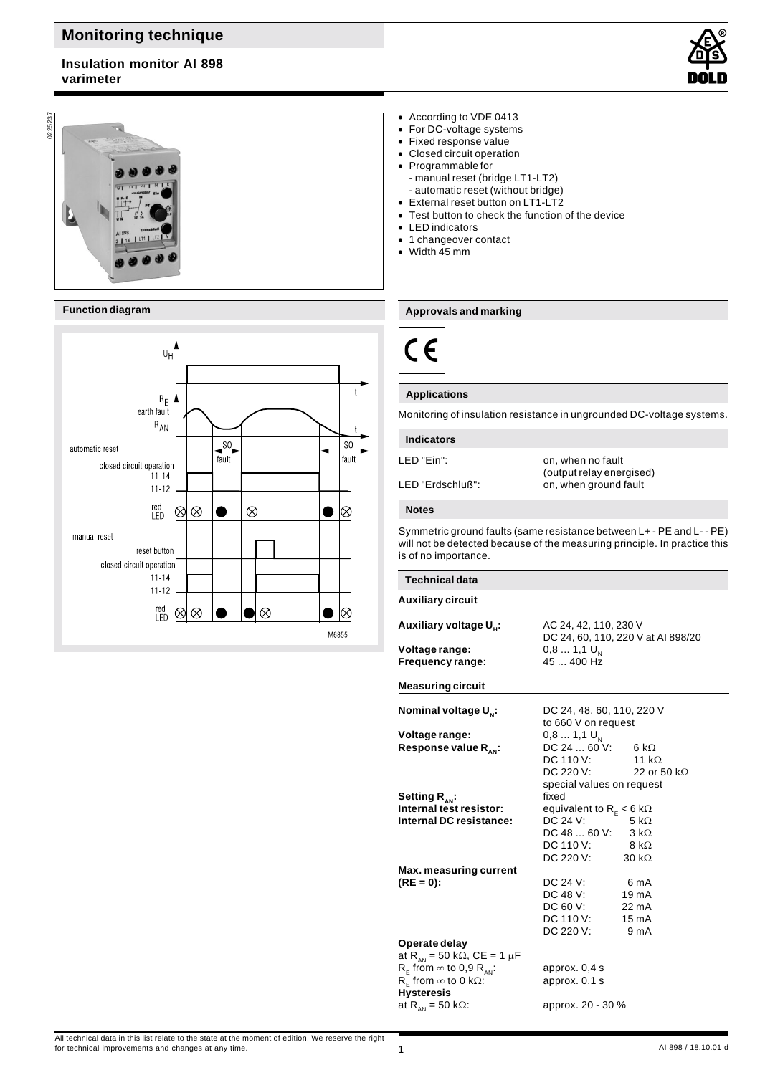# **Monitoring technique**

# **Insulation monitor AI 898 varimeter**





### **Function diagram**



### According to VDE 0413

- For DC-voltage systems
- Fixed response value
- Closed circuit operation
- Programmable for - manual reset (bridge LT1-LT2)
	- automatic reset (without bridge)
- External reset button on LT1-LT2
- Test button to check the function of the device
- LED indicators
- 1 changeover contact
- Width 45 mm

### **Approvals and marking**



### **Applications**

Monitoring of insulation resistance in ungrounded DC-voltage systems.

| <b>Indicators</b>   |                                                   |
|---------------------|---------------------------------------------------|
| I FD "Fin":         | on, when no fault                                 |
| I FD "Frdschluß": I | (output relay energised)<br>on, when ground fault |

# **Notes**

1

Symmetric ground faults (same resistance between L+ - PE and L- - PE) will not be detected because of the measuring principle. In practice this is of no importance.

| <b>Technical data</b>                                                          |                                                             |
|--------------------------------------------------------------------------------|-------------------------------------------------------------|
| <b>Auxiliary circuit</b>                                                       |                                                             |
| Auxiliary voltage U.:                                                          | AC 24, 42, 110, 230 V<br>DC 24, 60, 110, 220 V at AI 898/20 |
| Voltage range:<br>Frequency range:                                             | $0,81,1$ U <sub>x</sub><br>45  400 Hz                       |
| <b>Measuring circuit</b>                                                       |                                                             |
| Nominal voltage U <sub>N</sub> :                                               | DC 24, 48, 60, 110, 220 V<br>to 660 V on request            |
| Voltage range:                                                                 | $0,81,1$ U <sub>N</sub>                                     |
| Response value $R_{\text{av}}$ :                                               | DC 24  60 V: 6 kΩ                                           |
|                                                                                | DC 110 V: $11 k\Omega$                                      |
|                                                                                | DC 220 V: $22$ or 50 kΩ                                     |
|                                                                                | special values on request<br>fixed                          |
| Setting $R_{_{AN}}$ :<br>Internal test resistor:                               | equivalent to $R_E < 6$ k $\Omega$                          |
| Internal DC resistance:                                                        | DC 24 V:<br>5 k $\Omega$                                    |
|                                                                                | DC 48  60 V: $3 k\Omega$                                    |
|                                                                                | DC 110 V: $8 k\Omega$                                       |
|                                                                                | DC 220 V: $30 k\Omega$                                      |
| Max. measuring current                                                         |                                                             |
| $(RE = 0)$ :                                                                   | DC 24 V:<br>6 mA                                            |
|                                                                                | DC 48 V:<br>19 <sub>m</sub> A                               |
|                                                                                | DC 60 V:<br>$22 \text{ mA}$                                 |
|                                                                                | DC 110 V:<br>$15 \text{ mA}$                                |
|                                                                                | DC 220 V:<br>9 mA                                           |
| Operate delay                                                                  |                                                             |
| at R <sub>AN</sub> = 50 k $\Omega$ , CE = 1 µF                                 |                                                             |
| $R_F$ from $\infty$ to 0,9 $R_{AN}$ .<br>$R_F$ from $\infty$ to 0 k $\Omega$ : | approx. 0,4 s<br>approx. 0,1 s                              |
| <b>Hysteresis</b>                                                              |                                                             |
| at R <sub>AN</sub> = 50 k $\Omega$ :                                           | approx. 20 - 30 %                                           |
|                                                                                |                                                             |